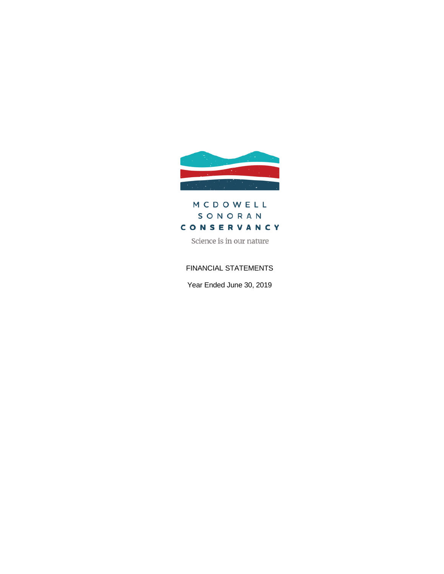

Science is in our nature

### FINANCIAL STATEMENTS

Year Ended June 30, 2019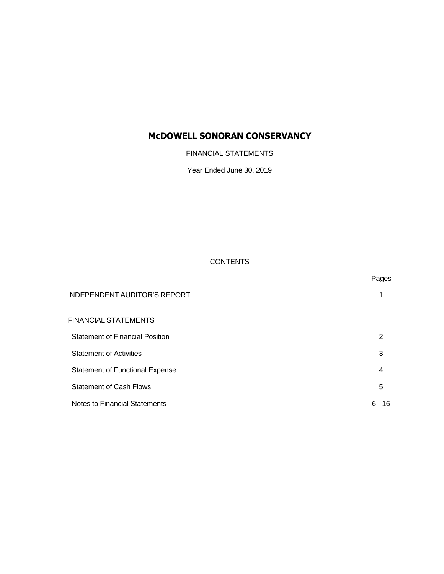FINANCIAL STATEMENTS

Year Ended June 30, 2019

### **CONTENTS**

|                                        | Pages  |
|----------------------------------------|--------|
| <b>INDEPENDENT AUDITOR'S REPORT</b>    |        |
| FINANCIAL STATEMENTS                   |        |
| <b>Statement of Financial Position</b> | 2      |
| <b>Statement of Activities</b>         | 3      |
| <b>Statement of Functional Expense</b> | 4      |
| <b>Statement of Cash Flows</b>         | 5      |
| Notes to Financial Statements          | 6 - 16 |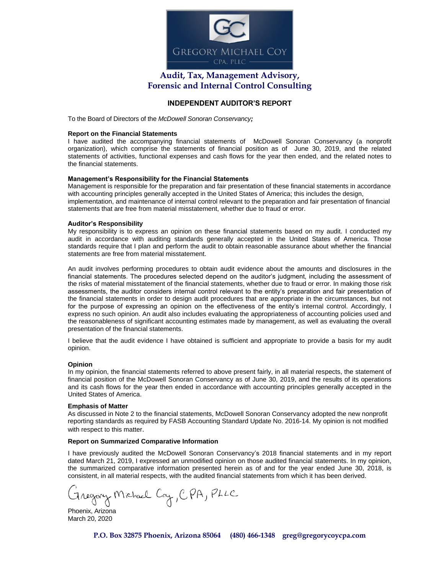

# **Audit, Tax, Management Advisory, Forensic and Internal Control Consulting**

### **INDEPENDENT AUDITOR'S REPORT**

To the Board of Directors of the *McDowell Sonoran Conservancy;*

#### **Report on the Financial Statements**

I have audited the accompanying financial statements of McDowell Sonoran Conservancy (a nonprofit organization), which comprise the statements of financial position as of June 30, 2019, and the related statements of activities, functional expenses and cash flows for the year then ended, and the related notes to the financial statements.

#### **Management's Responsibility for the Financial Statements**

Management is responsible for the preparation and fair presentation of these financial statements in accordance with accounting principles generally accepted in the United States of America; this includes the design, implementation, and maintenance of internal control relevant to the preparation and fair presentation of financial statements that are free from material misstatement, whether due to fraud or error.

#### **Auditor's Responsibility**

My responsibility is to express an opinion on these financial statements based on my audit. I conducted my audit in accordance with auditing standards generally accepted in the United States of America. Those standards require that I plan and perform the audit to obtain reasonable assurance about whether the financial statements are free from material misstatement.

An audit involves performing procedures to obtain audit evidence about the amounts and disclosures in the financial statements. The procedures selected depend on the auditor's judgment, including the assessment of the risks of material misstatement of the financial statements, whether due to fraud or error. In making those risk assessments, the auditor considers internal control relevant to the entity's preparation and fair presentation of the financial statements in order to design audit procedures that are appropriate in the circumstances, but not for the purpose of expressing an opinion on the effectiveness of the entity's internal control. Accordingly, I express no such opinion. An audit also includes evaluating the appropriateness of accounting policies used and the reasonableness of significant accounting estimates made by management, as well as evaluating the overall presentation of the financial statements.

I believe that the audit evidence I have obtained is sufficient and appropriate to provide a basis for my audit opinion.

#### **Opinion**

In my opinion, the financial statements referred to above present fairly, in all material respects, the statement of financial position of the McDowell Sonoran Conservancy as of June 30, 2019, and the results of its operations and its cash flows for the year then ended in accordance with accounting principles generally accepted in the United States of America.

#### **Emphasis of Matter**

As discussed in Note 2 to the financial statements, McDowell Sonoran Conservancy adopted the new nonprofit reporting standards as required by FASB Accounting Standard Update No. 2016-14. My opinion is not modified with respect to this matter.

#### **Report on Summarized Comparative Information**

I have previously audited the McDowell Sonoran Conservancy's 2018 financial statements and in my report dated March 21, 2019, I expressed an unmodified opinion on those audited financial statements. In my opinion, the summarized comparative information presented herein as of and for the year ended June 30, 2018, is consistent, in all material respects, with the audited financial statements from which it has been derived.

Fregory Michael Cay, CPA, PLLC

Phoenix, Arizona March 20, 2020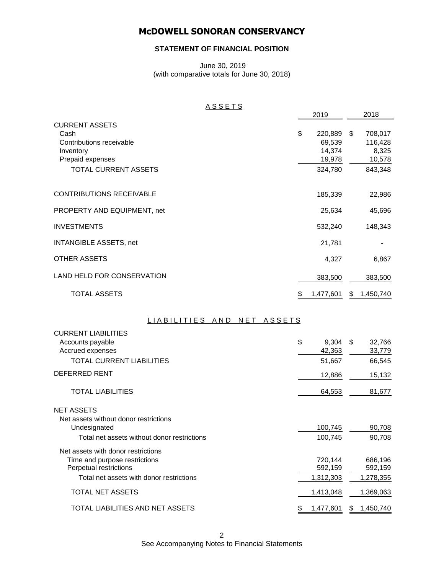### **STATEMENT OF FINANCIAL POSITION**

June 30, 2019 (with comparative totals for June 30, 2018)

#### A S S E T S

|                                                                                                                    | 2019                                                   | 2018 |                                                  |  |
|--------------------------------------------------------------------------------------------------------------------|--------------------------------------------------------|------|--------------------------------------------------|--|
| <b>CURRENT ASSETS</b><br>Cash<br>Contributions receivable<br>Inventory<br>Prepaid expenses<br>TOTAL CURRENT ASSETS | \$<br>220,889<br>69,539<br>14,374<br>19,978<br>324,780 | \$   | 708,017<br>116,428<br>8,325<br>10,578<br>843,348 |  |
| <b>CONTRIBUTIONS RECEIVABLE</b>                                                                                    | 185,339                                                |      | 22,986                                           |  |
| PROPERTY AND EQUIPMENT, net                                                                                        | 25,634                                                 |      | 45,696                                           |  |
| <b>INVESTMENTS</b>                                                                                                 | 532,240                                                |      | 148,343                                          |  |
| <b>INTANGIBLE ASSETS, net</b>                                                                                      | 21,781                                                 |      |                                                  |  |
| <b>OTHER ASSETS</b>                                                                                                | 4,327                                                  |      | 6,867                                            |  |
| LAND HELD FOR CONSERVATION                                                                                         | 383,500                                                |      | 383,500                                          |  |
| <b>TOTAL ASSETS</b>                                                                                                | 1,477,601                                              | S    | 1,450,740                                        |  |

### LIABILITIES AND NET ASSETS

| <b>CURRENT LIABILITIES</b>                  |                 |              |
|---------------------------------------------|-----------------|--------------|
| Accounts payable                            | \$<br>9,304     | \$<br>32,766 |
| Accrued expenses                            | 42,363          | 33,779       |
| TOTAL CURRENT LIABILITIES                   | 51,667          | 66,545       |
| <b>DEFERRED RENT</b>                        | 12,886          | 15,132       |
| TOTAL LIABILITIES                           | 64,553          | 81,677       |
| <b>NET ASSETS</b>                           |                 |              |
| Net assets without donor restrictions       |                 |              |
| Undesignated                                | 100,745         | 90,708       |
| Total net assets without donor restrictions | 100,745         | 90,708       |
| Net assets with donor restrictions          |                 |              |
| Time and purpose restrictions               | 720,144         | 686,196      |
| Perpetual restrictions                      | 592,159         | 592,159      |
| Total net assets with donor restrictions    | 1,312,303       | 1,278,355    |
| TOTAL NET ASSETS                            | 1,413,048       | 1,369,063    |
| TOTAL LIABILITIES AND NET ASSETS            | \$<br>1,477,601 | 1,450,740    |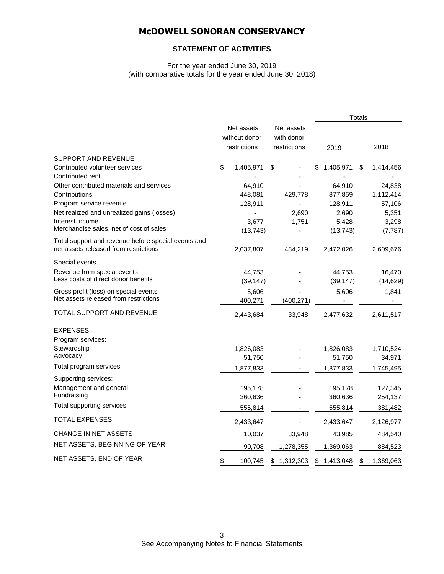### **STATEMENT OF ACTIVITIES**

For the year ended June 30, 2019 (with comparative totals for the year ended June 30, 2018)

|                                                            |                             |                          |                 | Totals |           |
|------------------------------------------------------------|-----------------------------|--------------------------|-----------------|--------|-----------|
|                                                            | Net assets<br>without donor | Net assets<br>with donor |                 |        |           |
|                                                            | restrictions                | restrictions             | 2019            |        | 2018      |
| SUPPORT AND REVENUE                                        |                             |                          |                 |        |           |
| Contributed volunteer services                             | \$<br>1,405,971             | \$                       | 1,405,971       | \$     | 1,414,456 |
| Contributed rent                                           |                             |                          |                 |        |           |
| Other contributed materials and services                   | 64,910                      |                          | 64,910          |        | 24,838    |
| Contributions                                              | 448,081                     | 429,778                  | 877,859         |        | 1,112,414 |
| Program service revenue                                    | 128,911                     |                          | 128,911         |        | 57,106    |
| Net realized and unrealized gains (losses)                 |                             | 2,690                    | 2,690           |        | 5,351     |
| Interest income<br>Merchandise sales, net of cost of sales | 3,677                       | 1,751                    | 5,428           |        | 3,298     |
|                                                            | (13, 743)                   |                          | (13, 743)       |        | (7, 787)  |
| Total support and revenue before special events and        |                             |                          |                 |        |           |
| net assets released from restrictions                      | 2,037,807                   | 434,219                  | 2,472,026       |        | 2,609,676 |
| Special events                                             |                             |                          |                 |        |           |
| Revenue from special events                                | 44,753                      |                          | 44,753          |        | 16,470    |
| Less costs of direct donor benefits                        | (39, 147)                   |                          | (39, 147)       |        | (14, 629) |
| Gross profit (loss) on special events                      | 5,606                       |                          | 5,606           |        | 1,841     |
| Net assets released from restrictions                      | 400,271                     | (400, 271)               |                 |        |           |
| TOTAL SUPPORT AND REVENUE                                  | 2,443,684                   | 33,948                   | 2,477,632       |        | 2,611,517 |
| <b>EXPENSES</b>                                            |                             |                          |                 |        |           |
| Program services:                                          |                             |                          |                 |        |           |
| Stewardship                                                | 1,826,083                   |                          | 1,826,083       |        | 1,710,524 |
| Advocacy                                                   | 51,750                      |                          | 51,750          |        | 34,971    |
| Total program services                                     | 1,877,833                   |                          | 1,877,833       |        | 1,745,495 |
| Supporting services:                                       |                             |                          |                 |        |           |
| Management and general                                     | 195,178                     |                          | 195,178         |        | 127,345   |
| Fundraising                                                | 360,636                     |                          | 360,636         |        | 254,137   |
| Total supporting services                                  | 555,814                     |                          | 555,814         |        | 381,482   |
| TOTAL EXPENSES                                             | 2,433,647                   |                          | 2,433,647       |        | 2,126,977 |
| <b>CHANGE IN NET ASSETS</b>                                | 10,037                      | 33,948                   | 43,985          |        | 484,540   |
| NET ASSETS, BEGINNING OF YEAR                              | 90,708                      | 1,278,355                | 1,369,063       |        | 884,523   |
| NET ASSETS, END OF YEAR                                    | \$<br>100,745               | \$<br>1,312,303          | \$<br>1,413,048 | \$     | 1,369,063 |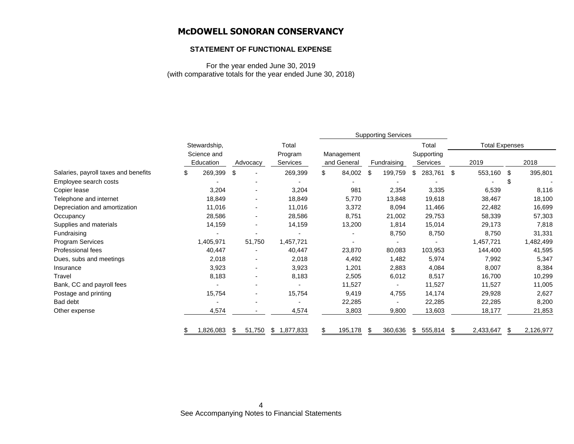### **STATEMENT OF FUNCTIONAL EXPENSE**

For the year ended June 30, 2019 (with comparative totals for the year ended June 30, 2018)

|                                      |                          |    |                                 |             |                                                                    |    | <b>Supporting Services</b> |    |            |                       |                 |
|--------------------------------------|--------------------------|----|---------------------------------|-------------|--------------------------------------------------------------------|----|----------------------------|----|------------|-----------------------|-----------------|
|                                      | Stewardship,             |    |                                 | Total       |                                                                    |    |                            |    | Total      | <b>Total Expenses</b> |                 |
|                                      | Science and<br>Education |    | Program<br>Advocacy<br>Services |             | Supporting<br>Management<br>and General<br>Services<br>Fundraising |    |                            |    | 2019       | 2018                  |                 |
| Salaries, payroll taxes and benefits | 269,399                  | \$ |                                 | 269,399     | \$<br>84,002                                                       | \$ | 199,759                    | S  | 283,761 \$ | 553,160 \$            | 395,801         |
| Employee search costs                |                          |    |                                 |             |                                                                    |    |                            |    |            |                       | \$              |
| Copier lease                         | 3,204                    |    |                                 | 3,204       | 981                                                                |    | 2,354                      |    | 3,335      | 6,539                 | 8,116           |
| Telephone and internet               | 18,849                   |    |                                 | 18,849      | 5,770                                                              |    | 13,848                     |    | 19,618     | 38,467                | 18,100          |
| Depreciation and amortization        | 11,016                   |    | ٠                               | 11,016      | 3,372                                                              |    | 8,094                      |    | 11,466     | 22,482                | 16,699          |
| Occupancy                            | 28,586                   |    | ٠                               | 28,586      | 8,751                                                              |    | 21,002                     |    | 29,753     | 58,339                | 57,303          |
| Supplies and materials               | 14,159                   |    | ٠                               | 14,159      | 13,200                                                             |    | 1,814                      |    | 15,014     | 29,173                | 7,818           |
| Fundraising                          |                          |    |                                 |             |                                                                    |    | 8,750                      |    | 8,750      | 8,750                 | 31,331          |
| <b>Program Services</b>              | 1,405,971                |    | 51,750                          | 1,457,721   |                                                                    |    |                            |    |            | 1,457,721             | 1,482,499       |
| Professional fees                    | 40,447                   |    |                                 | 40,447      | 23,870                                                             |    | 80,083                     |    | 103,953    | 144,400               | 41,595          |
| Dues, subs and meetings              | 2,018                    |    | ٠                               | 2,018       | 4,492                                                              |    | 1,482                      |    | 5,974      | 7,992                 | 5,347           |
| Insurance                            | 3,923                    |    | ٠                               | 3,923       | 1,201                                                              |    | 2,883                      |    | 4,084      | 8,007                 | 8,384           |
| Travel                               | 8,183                    |    |                                 | 8,183       | 2,505                                                              |    | 6,012                      |    | 8,517      | 16,700                | 10,299          |
| Bank, CC and payroll fees            |                          |    | $\overline{\phantom{0}}$        |             | 11,527                                                             |    |                            |    | 11,527     | 11,527                | 11,005          |
| Postage and printing                 | 15,754                   |    |                                 | 15,754      | 9,419                                                              |    | 4,755                      |    | 14,174     | 29,928                | 2,627           |
| Bad debt                             |                          |    |                                 |             | 22,285                                                             |    |                            |    | 22,285     | 22,285                | 8,200           |
| Other expense                        | 4,574                    |    |                                 | 4,574       | 3,803                                                              |    | 9,800                      |    | 13,603     | 18,177                | 21,853          |
|                                      | \$<br>1,826,083          | \$ | 51,750                          | \$1,877,833 | \$<br>195,178                                                      | \$ | 360,636                    | \$ | 555,814    | \$<br>2,433,647       | \$<br>2,126,977 |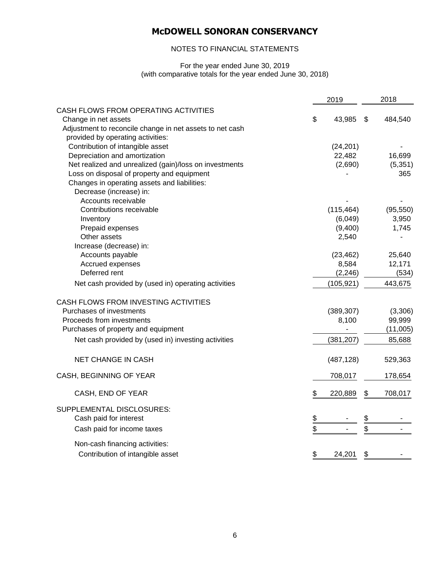### NOTES TO FINANCIAL STATEMENTS

#### For the year ended June 30, 2019 (with comparative totals for the year ended June 30, 2018)

|                                                          |           | 2019       |               | 2018      |
|----------------------------------------------------------|-----------|------------|---------------|-----------|
| CASH FLOWS FROM OPERATING ACTIVITIES                     |           |            |               |           |
| Change in net assets                                     | \$        | 43,985     | \$            | 484,540   |
| Adjustment to reconcile change in net assets to net cash |           |            |               |           |
| provided by operating activities:                        |           |            |               |           |
| Contribution of intangible asset                         |           | (24, 201)  |               |           |
| Depreciation and amortization                            |           | 22,482     |               | 16,699    |
| Net realized and unrealized (gain)/loss on investments   |           | (2,690)    |               | (5, 351)  |
| Loss on disposal of property and equipment               |           |            |               | 365       |
| Changes in operating assets and liabilities:             |           |            |               |           |
| Decrease (increase) in:                                  |           |            |               |           |
| Accounts receivable                                      |           |            |               |           |
| Contributions receivable                                 |           | (115, 464) |               | (95, 550) |
| Inventory                                                |           | (6,049)    |               | 3,950     |
| Prepaid expenses                                         |           | (9,400)    |               | 1,745     |
| Other assets                                             |           | 2,540      |               |           |
| Increase (decrease) in:                                  |           |            |               |           |
| Accounts payable                                         |           | (23, 462)  |               | 25,640    |
| Accrued expenses                                         |           | 8,584      |               | 12,171    |
| Deferred rent                                            |           | (2, 246)   |               | (534)     |
| Net cash provided by (used in) operating activities      |           | (105, 921) |               | 443,675   |
| CASH FLOWS FROM INVESTING ACTIVITIES                     |           |            |               |           |
| Purchases of investments                                 |           | (389, 307) |               | (3,306)   |
| Proceeds from investments                                |           | 8,100      |               | 99,999    |
| Purchases of property and equipment                      |           |            |               | (11,005)  |
| Net cash provided by (used in) investing activities      |           | (381, 207) |               | 85,688    |
| <b>NET CHANGE IN CASH</b>                                |           | (487, 128) |               | 529,363   |
| CASH, BEGINNING OF YEAR                                  |           | 708,017    |               | 178,654   |
| CASH, END OF YEAR                                        | \$        | 220,889    | \$            | 708,017   |
| SUPPLEMENTAL DISCLOSURES:                                |           |            |               |           |
| Cash paid for interest                                   | <u>\$</u> |            | $\frac{3}{2}$ |           |
| Cash paid for income taxes                               | \$        |            | \$            |           |
| Non-cash financing activities:                           |           |            |               |           |
| Contribution of intangible asset                         | \$        | 24,201     | \$            |           |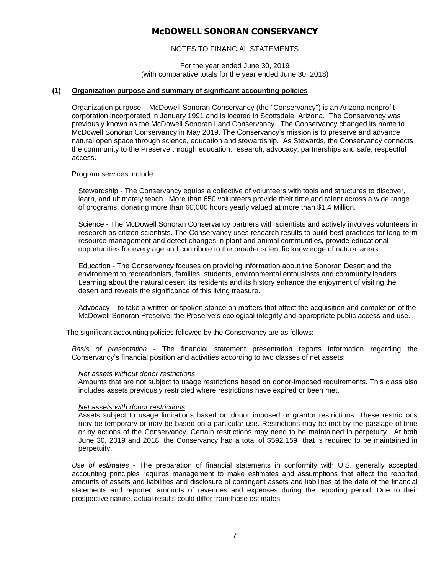### NOTES TO FINANCIAL STATEMENTS

For the year ended June 30, 2019 (with comparative totals for the year ended June 30, 2018)

#### **(1) Organization purpose and summary of significant accounting policies**

Organization purpose – McDowell Sonoran Conservancy (the "Conservancy") is an Arizona nonprofit corporation incorporated in January 1991 and is located in Scottsdale, Arizona. The Conservancy was previously known as the McDowell Sonoran Land Conservancy. The Conservancy changed its name to McDowell Sonoran Conservancy in May 2019. The Conservancy's mission is to preserve and advance natural open space through science, education and stewardship. As Stewards, the Conservancy connects the community to the Preserve through education, research, advocacy, partnerships and safe, respectful access.

Program services include:

Stewardship - The Conservancy equips a collective of volunteers with tools and structures to discover, learn, and ultimately teach. More than 650 volunteers provide their time and talent across a wide range of programs, donating more than 60,000 hours yearly valued at more than \$1.4 Million.

Science - The McDowell Sonoran Conservancy partners with scientists and actively involves volunteers in research as citizen scientists. The Conservancy uses research results to build best practices for long-term resource management and detect changes in plant and animal communities, provide educational opportunities for every age and contribute to the broader scientific knowledge of natural areas.

Education - The Conservancy focuses on providing information about the Sonoran Desert and the environment to recreationists, families, students, environmental enthusiasts and community leaders. Learning about the natural desert, its residents and its history enhance the enjoyment of visiting the desert and reveals the significance of this living treasure.

Advocacy – to take a written or spoken stance on matters that affect the acquisition and completion of the McDowell Sonoran Preserve, the Preserve's ecological integrity and appropriate public access and use.

The significant accounting policies followed by the Conservancy are as follows:

*Basis of presentation* - The financial statement presentation reports information regarding the Conservancy's financial position and activities according to two classes of net assets:

#### *Net assets without donor restrictions*

Amounts that are not subject to usage restrictions based on donor-imposed requirements. This class also includes assets previously restricted where restrictions have expired or been met.

#### *Net assets with donor restrictions*

Assets subject to usage limitations based on donor imposed or grantor restrictions. These restrictions may be temporary or may be based on a particular use. Restrictions may be met by the passage of time or by actions of the Conservancy. Certain restrictions may need to be maintained in perpetuity. At both June 30, 2019 and 2018, the Conservancy had a total of \$592,159 that is required to be maintained in perpetuity.

*Use of estimates* - The preparation of financial statements in conformity with U.S. generally accepted accounting principles requires management to make estimates and assumptions that affect the reported amounts of assets and liabilities and disclosure of contingent assets and liabilities at the date of the financial statements and reported amounts of revenues and expenses during the reporting period. Due to their prospective nature, actual results could differ from those estimates.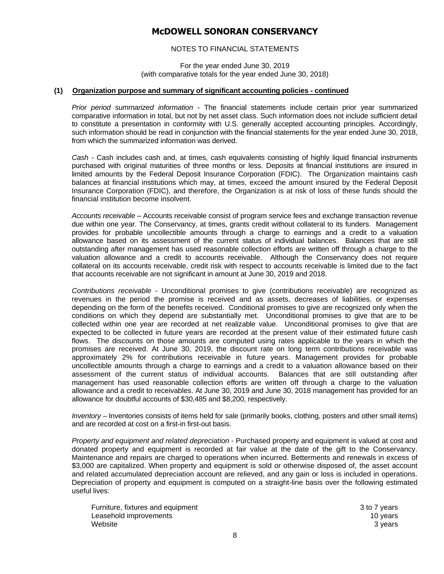### NOTES TO FINANCIAL STATEMENTS

For the year ended June 30, 2019 (with comparative totals for the year ended June 30, 2018)

#### **(1) Organization purpose and summary of significant accounting policies - continued**

*Prior period summarized information* - The financial statements include certain prior year summarized comparative information in total, but not by net asset class. Such information does not include sufficient detail to constitute a presentation in conformity with U.S. generally accepted accounting principles. Accordingly, such information should be read in conjunction with the financial statements for the year ended June 30, 2018, from which the summarized information was derived.

*Cash* - Cash includes cash and, at times, cash equivalents consisting of highly liquid financial instruments purchased with original maturities of three months or less. Deposits at financial institutions are insured in limited amounts by the Federal Deposit Insurance Corporation (FDIC). The Organization maintains cash balances at financial institutions which may, at times, exceed the amount insured by the Federal Deposit Insurance Corporation (FDIC), and therefore, the Organization is at risk of loss of these funds should the financial institution become insolvent.

*Accounts receivable* – Accounts receivable consist of program service fees and exchange transaction revenue due within one year. The Conservancy, at times, grants credit without collateral to its funders. Management provides for probable uncollectible amounts through a charge to earnings and a credit to a valuation allowance based on its assessment of the current status of individual balances. Balances that are still outstanding after management has used reasonable collection efforts are written off through a charge to the valuation allowance and a credit to accounts receivable. Although the Conservancy does not require collateral on its accounts receivable, credit risk with respect to accounts receivable is limited due to the fact that accounts receivable are not significant in amount at June 30, 2019 and 2018.

*Contributions receivable* - Unconditional promises to give (contributions receivable) are recognized as revenues in the period the promise is received and as assets, decreases of liabilities, or expenses depending on the form of the benefits received. Conditional promises to give are recognized only when the conditions on which they depend are substantially met. Unconditional promises to give that are to be collected within one year are recorded at net realizable value. Unconditional promises to give that are expected to be collected in future years are recorded at the present value of their estimated future cash flows. The discounts on those amounts are computed using rates applicable to the years in which the promises are received. At June 30, 2019, the discount rate on long term contributions receivable was approximately 2% for contributions receivable in future years. Management provides for probable uncollectible amounts through a charge to earnings and a credit to a valuation allowance based on their assessment of the current status of individual accounts. Balances that are still outstanding after management has used reasonable collection efforts are written off through a charge to the valuation allowance and a credit to receivables. At June 30, 2019 and June 30, 2018 management has provided for an allowance for doubtful accounts of \$30,485 and \$8,200, respectively.

*Inventory* – Inventories consists of items held for sale (primarily books, clothing, posters and other small items) and are recorded at cost on a first-in first-out basis.

*Property and equipment and related depreciation* - Purchased property and equipment is valued at cost and donated property and equipment is recorded at fair value at the date of the gift to the Conservancy. Maintenance and repairs are charged to operations when incurred. Betterments and renewals in excess of \$3,000 are capitalized. When property and equipment is sold or otherwise disposed of, the asset account and related accumulated depreciation account are relieved, and any gain or loss is included in operations. Depreciation of property and equipment is computed on a straight-line basis over the following estimated useful lives:

Furniture, fixtures and equipment 3 to 7 years Leasehold improvements **10** years 10 years 10 years 10 years 10 years 10 years 10 years 10 years 10 years 10 years 10 years 10 years 10 years 10 years 10 years 10 years 10 years 10 years 10 years 10 years 10 years 10 years website 3 years (2012) 3 years (2012) 3 years (2012) 3 years (2012) 3 years (30) 3 years (30) 3 years (30) 3 years (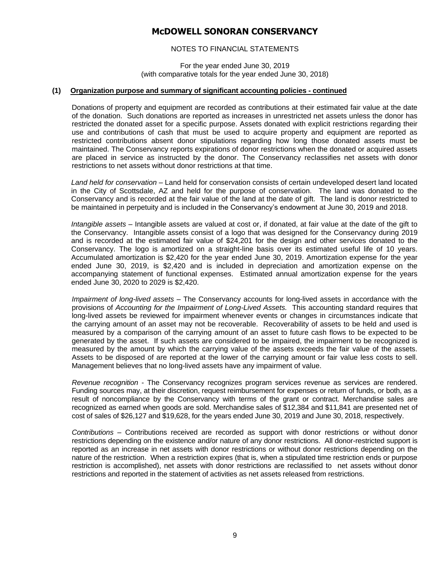### NOTES TO FINANCIAL STATEMENTS

For the year ended June 30, 2019 (with comparative totals for the year ended June 30, 2018)

#### **(1) Organization purpose and summary of significant accounting policies - continued**

Donations of property and equipment are recorded as contributions at their estimated fair value at the date of the donation. Such donations are reported as increases in unrestricted net assets unless the donor has restricted the donated asset for a specific purpose. Assets donated with explicit restrictions regarding their use and contributions of cash that must be used to acquire property and equipment are reported as restricted contributions absent donor stipulations regarding how long those donated assets must be maintained. The Conservancy reports expirations of donor restrictions when the donated or acquired assets are placed in service as instructed by the donor. The Conservancy reclassifies net assets with donor restrictions to net assets without donor restrictions at that time.

*Land held for conservation* – Land held for conservation consists of certain undeveloped desert land located in the City of Scottsdale, AZ and held for the purpose of conservation. The land was donated to the Conservancy and is recorded at the fair value of the land at the date of gift. The land is donor restricted to be maintained in perpetuity and is included in the Conservancy's endowment at June 30, 2019 and 2018.

*Intangible assets* – Intangible assets are valued at cost or, if donated, at fair value at the date of the gift to the Conservancy. Intangible assets consist of a logo that was designed for the Conservancy during 2019 and is recorded at the estimated fair value of \$24,201 for the design and other services donated to the Conservancy. The logo is amortized on a straight-line basis over its estimated useful life of 10 years. Accumulated amortization is \$2,420 for the year ended June 30, 2019. Amortization expense for the year ended June 30, 2019, is \$2,420 and is included in depreciation and amortization expense on the accompanying statement of functional expenses. Estimated annual amortization expense for the years ended June 30, 2020 to 2029 is \$2,420.

*Impairment of long-lived assets* – The Conservancy accounts for long-lived assets in accordance with the provisions of *Accounting for the Impairment of Long-Lived Assets.* This accounting standard requires that long-lived assets be reviewed for impairment whenever events or changes in circumstances indicate that the carrying amount of an asset may not be recoverable. Recoverability of assets to be held and used is measured by a comparison of the carrying amount of an asset to future cash flows to be expected to be generated by the asset. If such assets are considered to be impaired, the impairment to be recognized is measured by the amount by which the carrying value of the assets exceeds the fair value of the assets. Assets to be disposed of are reported at the lower of the carrying amount or fair value less costs to sell. Management believes that no long-lived assets have any impairment of value.

*Revenue recognition* - The Conservancy recognizes program services revenue as services are rendered. Funding sources may, at their discretion, request reimbursement for expenses or return of funds, or both, as a result of noncompliance by the Conservancy with terms of the grant or contract. Merchandise sales are recognized as earned when goods are sold. Merchandise sales of \$12,384 and \$11,841 are presented net of cost of sales of \$26,127 and \$19,628, for the years ended June 30, 2019 and June 30, 2018, respectively.

*Contributions –* Contributions received are recorded as support with donor restrictions or without donor restrictions depending on the existence and/or nature of any donor restrictions. All donor-restricted support is reported as an increase in net assets with donor restrictions or without donor restrictions depending on the nature of the restriction. When a restriction expires (that is, when a stipulated time restriction ends or purpose restriction is accomplished), net assets with donor restrictions are reclassified to net assets without donor restrictions and reported in the statement of activities as net assets released from restrictions.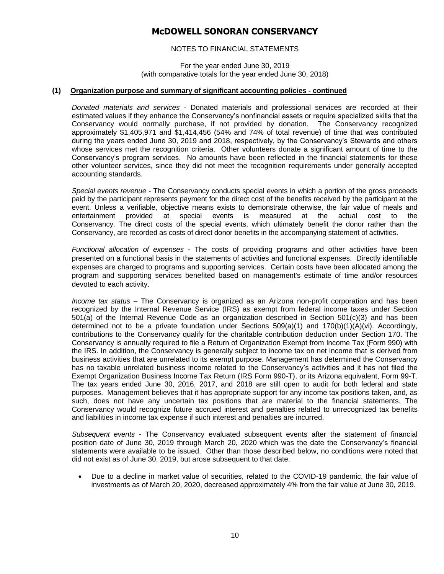### NOTES TO FINANCIAL STATEMENTS

For the year ended June 30, 2019 (with comparative totals for the year ended June 30, 2018)

#### **(1) Organization purpose and summary of significant accounting policies - continued**

*Donated materials and services* - Donated materials and professional services are recorded at their estimated values if they enhance the Conservancy's nonfinancial assets or require specialized skills that the Conservancy would normally purchase, if not provided by donation. The Conservancy recognized approximately \$1,405,971 and \$1,414,456 (54% and 74% of total revenue) of time that was contributed during the years ended June 30, 2019 and 2018, respectively, by the Conservancy's Stewards and others whose services met the recognition criteria. Other volunteers donate a significant amount of time to the Conservancy's program services. No amounts have been reflected in the financial statements for these other volunteer services, since they did not meet the recognition requirements under generally accepted accounting standards.

*Special events revenue* - The Conservancy conducts special events in which a portion of the gross proceeds paid by the participant represents payment for the direct cost of the benefits received by the participant at the event. Unless a verifiable, objective means exists to demonstrate otherwise, the fair value of meals and entertainment provided at special events is measured at the actual cost to the Conservancy. The direct costs of the special events, which ultimately benefit the donor rather than the Conservancy, are recorded as costs of direct donor benefits in the accompanying statement of activities.

*Functional allocation of expenses* - The costs of providing programs and other activities have been presented on a functional basis in the statements of activities and functional expenses. Directly identifiable expenses are charged to programs and supporting services. Certain costs have been allocated among the program and supporting services benefited based on management's estimate of time and/or resources devoted to each activity.

*Income tax status* – The Conservancy is organized as an Arizona non-profit corporation and has been recognized by the Internal Revenue Service (IRS) as exempt from federal income taxes under Section 501(a) of the Internal Revenue Code as an organization described in Section 501(c)(3) and has been determined not to be a private foundation under Sections 509(a)(1) and 170(b)(1)(A)(vi). Accordingly, contributions to the Conservancy qualify for the charitable contribution deduction under Section 170. The Conservancy is annually required to file a Return of Organization Exempt from Income Tax (Form 990) with the IRS. In addition, the Conservancy is generally subject to income tax on net income that is derived from business activities that are unrelated to its exempt purpose. Management has determined the Conservancy has no taxable unrelated business income related to the Conservancy's activities and it has not filed the Exempt Organization Business Income Tax Return (IRS Form 990-T), or its Arizona equivalent, Form 99-T. The tax years ended June 30, 2016, 2017, and 2018 are still open to audit for both federal and state purposes. Management believes that it has appropriate support for any income tax positions taken, and, as such, does not have any uncertain tax positions that are material to the financial statements. The Conservancy would recognize future accrued interest and penalties related to unrecognized tax benefits and liabilities in income tax expense if such interest and penalties are incurred.

*Subsequent events -* The Conservancy evaluated subsequent events after the statement of financial position date of June 30, 2019 through March 20, 2020 which was the date the Conservancy's financial statements were available to be issued. Other than those described below, no conditions were noted that did not exist as of June 30, 2019, but arose subsequent to that date.

 Due to a decline in market value of securities, related to the COVID-19 pandemic, the fair value of investments as of March 20, 2020, decreased approximately 4% from the fair value at June 30, 2019.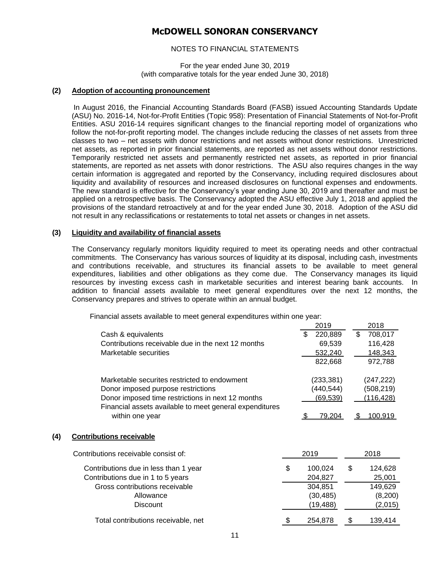### NOTES TO FINANCIAL STATEMENTS

For the year ended June 30, 2019 (with comparative totals for the year ended June 30, 2018)

#### **(2) Adoption of accounting pronouncement**

In August 2016, the Financial Accounting Standards Board (FASB) issued Accounting Standards Update (ASU) No. 2016-14, Not-for-Profit Entities (Topic 958): Presentation of Financial Statements of Not-for-Profit Entities. ASU 2016-14 requires significant changes to the financial reporting model of organizations who follow the not-for-profit reporting model. The changes include reducing the classes of net assets from three classes to two – net assets with donor restrictions and net assets without donor restrictions. Unrestricted net assets, as reported in prior financial statements, are reported as net assets without donor restrictions. Temporarily restricted net assets and permanently restricted net assets, as reported in prior financial statements, are reported as net assets with donor restrictions. The ASU also requires changes in the way certain information is aggregated and reported by the Conservancy, including required disclosures about liquidity and availability of resources and increased disclosures on functional expenses and endowments. The new standard is effective for the Conservancy's year ending June 30, 2019 and thereafter and must be applied on a retrospective basis. The Conservancy adopted the ASU effective July 1, 2018 and applied the provisions of the standard retroactively at and for the year ended June 30, 2018. Adoption of the ASU did not result in any reclassifications or restatements to total net assets or changes in net assets.

#### **(3) Liquidity and availability of financial assets**

The Conservancy regularly monitors liquidity required to meet its operating needs and other contractual commitments. The Conservancy has various sources of liquidity at its disposal, including cash, investments and contributions receivable, and structures its financial assets to be available to meet general expenditures, liabilities and other obligations as they come due. The Conservancy manages its liquid resources by investing excess cash in marketable securities and interest bearing bank accounts. In addition to financial assets available to meet general expenditures over the next 12 months, the Conservancy prepares and strives to operate within an annual budget.

Financial assets available to meet general expenditures within one year:

|     |                                                         | 2019          |                 | 2018           |
|-----|---------------------------------------------------------|---------------|-----------------|----------------|
|     | Cash & equivalents                                      | \$            | 220,889         | \$<br>708,017  |
|     | Contributions receivable due in the next 12 months      |               | 69,539          | 116,428        |
|     | Marketable securities                                   |               | 532,240         | 148,343        |
|     |                                                         |               | 822,668         | 972,788        |
|     | Marketable securites restricted to endowment            |               | (233, 381)      | (247, 222)     |
|     | Donor imposed purpose restrictions                      |               | (440,544)       | (508, 219)     |
|     | Donor imposed time restrictions in next 12 months       |               | <u>(69,539)</u> | (116, 428)     |
|     | Financial assets available to meet general expenditures |               |                 |                |
|     | within one year                                         |               | 79,204          | <u>100,919</u> |
| (4) | <b>Contributions receivable</b>                         |               |                 |                |
|     | Contributions receivable consist of:                    | 2019          |                 | 2018           |
|     | Contributions due in less than 1 year                   | \$<br>100,024 |                 | \$<br>124,628  |
|     | Contributions due in 1 to 5 years                       | 204,827       |                 | 25,001         |
|     | Gross contributions receivable                          | 304,851       |                 | 149,629        |
|     | Allowance                                               | (30, 485)     |                 | (8,200)        |
|     | Discount                                                | (19,488)      |                 | (2,015)        |
|     | Total contributions receivable, net                     | \$<br>254,878 |                 | \$<br>139,414  |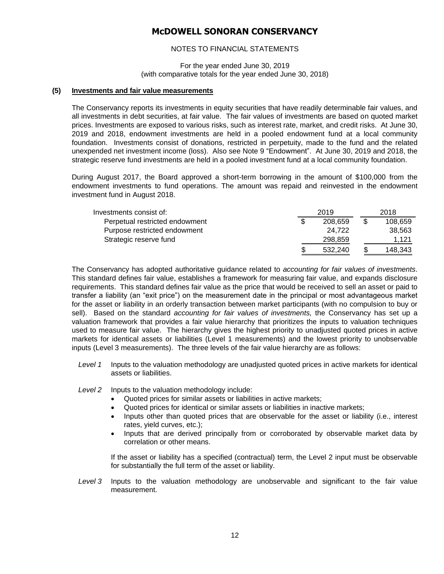### NOTES TO FINANCIAL STATEMENTS

For the year ended June 30, 2019 (with comparative totals for the year ended June 30, 2018)

#### **(5) Investments and fair value measurements**

The Conservancy reports its investments in equity securities that have readily determinable fair values, and all investments in debt securities, at fair value. The fair values of investments are based on quoted market prices. Investments are exposed to various risks, such as interest rate, market, and credit risks. At June 30, 2019 and 2018, endowment investments are held in a pooled endowment fund at a local community foundation. Investments consist of donations, restricted in perpetuity, made to the fund and the related unexpended net investment income (loss). Also see Note 9 "Endowment". At June 30, 2019 and 2018, the strategic reserve fund investments are held in a pooled investment fund at a local community foundation.

During August 2017, the Board approved a short-term borrowing in the amount of \$100,000 from the endowment investments to fund operations. The amount was repaid and reinvested in the endowment investment fund in August 2018.

| Investments consist of:        | 2019    |  |         |
|--------------------------------|---------|--|---------|
| Perpetual restricted endowment | 208.659 |  | 108.659 |
| Purpose restricted endowment   | 24.722  |  | 38,563  |
| Strategic reserve fund         | 298,859 |  | 1.121   |
|                                | 532.240 |  | 148.343 |

The Conservancy has adopted authoritative guidance related to *accounting for fair values of investments*. This standard defines fair value, establishes a framework for measuring fair value, and expands disclosure requirements. This standard defines fair value as the price that would be received to sell an asset or paid to transfer a liability (an "exit price") on the measurement date in the principal or most advantageous market for the asset or liability in an orderly transaction between market participants (with no compulsion to buy or sell). Based on the standard *accounting for fair values of investments,* the Conservancy has set up a valuation framework that provides a fair value hierarchy that prioritizes the inputs to valuation techniques used to measure fair value. The hierarchy gives the highest priority to unadjusted quoted prices in active markets for identical assets or liabilities (Level 1 measurements) and the lowest priority to unobservable inputs (Level 3 measurements). The three levels of the fair value hierarchy are as follows:

*Level 1* Inputs to the valuation methodology are unadjusted quoted prices in active markets for identical assets or liabilities.

*Level 2* Inputs to the valuation methodology include:

- Quoted prices for similar assets or liabilities in active markets;
- Quoted prices for identical or similar assets or liabilities in inactive markets;
- Inputs other than quoted prices that are observable for the asset or liability (i.e., interest rates, yield curves, etc.);
- Inputs that are derived principally from or corroborated by observable market data by correlation or other means.

If the asset or liability has a specified (contractual) term, the Level 2 input must be observable for substantially the full term of the asset or liability.

*Level 3* Inputs to the valuation methodology are unobservable and significant to the fair value measurement.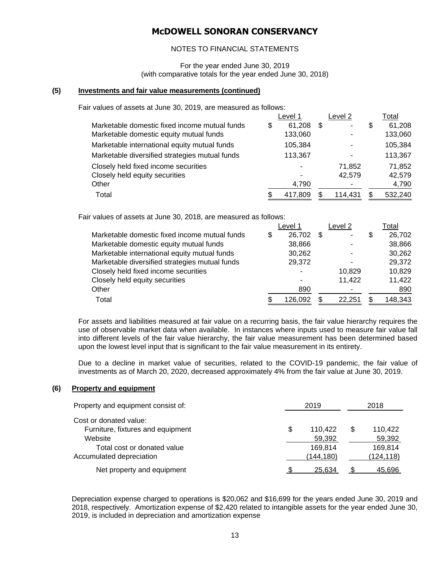### NOTES TO FINANCIAL STATEMENTS

For the year ended June 30, 2019 (with comparative totals for the year ended June 30, 2018)

#### **(5) Investments and fair value measurements (continued)**

Fair values of assets at June 30, 2019, are measured as follows:

|                                                |    | Level 1 |     | Level 2 | Total   |
|------------------------------------------------|----|---------|-----|---------|---------|
| Marketable domestic fixed income mutual funds  | S  | 61,208  | \$. |         | 61,208  |
| Marketable domestic equity mutual funds        |    | 133,060 |     |         | 133,060 |
| Marketable international equity mutual funds   |    | 105,384 |     |         | 105,384 |
| Marketable diversified strategies mutual funds |    | 113,367 |     |         | 113,367 |
| Closely held fixed income securities           |    |         |     | 71.852  | 71,852  |
| Closely held equity securities                 |    |         |     | 42,579  | 42,579  |
| Other                                          |    | 4.790   |     |         | 4.790   |
| Total                                          | \$ | 417.809 |     | 114.431 | 532,240 |

Fair values of assets at June 30, 2018, are measured as follows:

|                                                |   | Level 1 | Level 2 |   | Total   |
|------------------------------------------------|---|---------|---------|---|---------|
| Marketable domestic fixed income mutual funds  | S | 26,702  | ٠       | S | 26,702  |
| Marketable domestic equity mutual funds        |   | 38,866  |         |   | 38,866  |
| Marketable international equity mutual funds   |   | 30,262  |         |   | 30,262  |
| Marketable diversified strategies mutual funds |   | 29,372  |         |   | 29,372  |
| Closely held fixed income securities           |   |         | 10.829  |   | 10,829  |
| Closely held equity securities                 |   |         | 11,422  |   | 11,422  |
| Other                                          |   | 890     |         |   | 890     |
| Total                                          |   | 126,092 | 22.251  |   | 148,343 |

For assets and liabilities measured at fair value on a recurring basis, the fair value hierarchy requires the use of observable market data when available. In instances where inputs used to measure fair value fall into different levels of the fair value hierarchy, the fair value measurement has been determined based upon the lowest level input that is significant to the fair value measurement in its entirety.

Due to a decline in market value of securities, related to the COVID-19 pandemic, the fair value of investments as of March 20, 2020, decreased approximately 4% from the fair value at June 30, 2019.

### **(6) Property and equipment**

| Property and equipment consist of: | 2019 |           |     | 2018           |  |  |
|------------------------------------|------|-----------|-----|----------------|--|--|
| Cost or donated value:             |      |           |     |                |  |  |
| Furniture, fixtures and equipment  | S    | 110.422   | \$. | 110.422        |  |  |
| Website                            |      | 59,392    |     | 59,392         |  |  |
| Total cost or donated value        |      | 169.814   |     | 169,814        |  |  |
| Accumulated depreciation           |      | (144,180) |     | (124, 118)     |  |  |
| Net property and equipment         |      | 25.634    |     | 4 <u>5,696</u> |  |  |

Depreciation expense charged to operations is \$20,062 and \$16,699 for the years ended June 30, 2019 and 2018, respectively. Amortization expense of \$2,420 related to intangible assets for the year ended June 30, 2019, is included in depreciation and amortization expense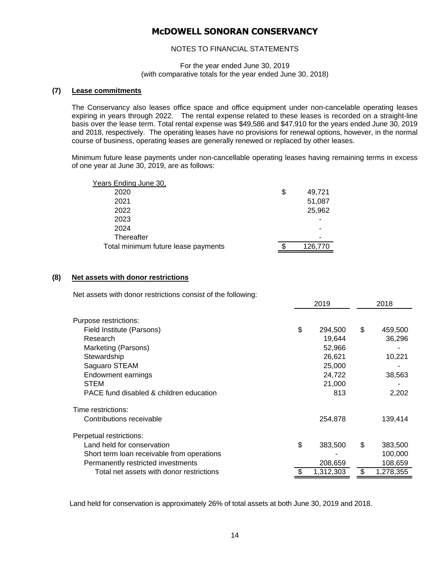### NOTES TO FINANCIAL STATEMENTS

#### For the year ended June 30, 2019 (with comparative totals for the year ended June 30, 2018)

#### **(7) Lease commitments**

The Conservancy also leases office space and office equipment under non-cancelable operating leases expiring in years through 2022. The rental expense related to these leases is recorded on a straight-line basis over the lease term. Total rental expense was \$49,586 and \$47,910 for the years ended June 30, 2019 and 2018, respectively. The operating leases have no provisions for renewal options, however, in the normal course of business, operating leases are generally renewed or replaced by other leases.

Minimum future lease payments under non-cancellable operating leases having remaining terms in excess of one year at June 30, 2019, are as follows:

| Years Ending June 30,               |   |         |
|-------------------------------------|---|---------|
| 2020                                | S | 49,721  |
| 2021                                |   | 51,087  |
| 2022                                |   | 25,962  |
| 2023                                |   |         |
| 2024                                |   |         |
| Thereafter                          |   |         |
| Total minimum future lease payments |   | 126,770 |

#### **(8) Net assets with donor restrictions**

Net assets with donor restrictions consist of the following:

|                                            |    | 2019      |    |           |
|--------------------------------------------|----|-----------|----|-----------|
| Purpose restrictions:                      |    |           |    |           |
| Field Institute (Parsons)                  | \$ | 294,500   | \$ | 459,500   |
| Research                                   |    | 19,644    |    | 36,296    |
| Marketing (Parsons)                        |    | 52,966    |    |           |
| Stewardship                                |    | 26,621    |    | 10,221    |
| Saguaro STEAM                              |    | 25,000    |    |           |
| Endowment earnings                         |    | 24,722    |    | 38,563    |
| <b>STEM</b>                                |    | 21,000    |    |           |
| PACE fund disabled & children education    |    | 813       |    | 2,202     |
| Time restrictions:                         |    |           |    |           |
| Contributions receivable                   |    | 254,878   |    | 139,414   |
| Perpetual restrictions:                    |    |           |    |           |
| Land held for conservation                 | \$ | 383,500   | \$ | 383,500   |
| Short term loan receivable from operations |    |           |    | 100,000   |
| Permanently restricted investments         |    | 208,659   |    | 108,659   |
| Total net assets with donor restrictions   | S  | 1,312,303 | \$ | 1,278,355 |

Land held for conservation is approximately 26% of total assets at both June 30, 2019 and 2018.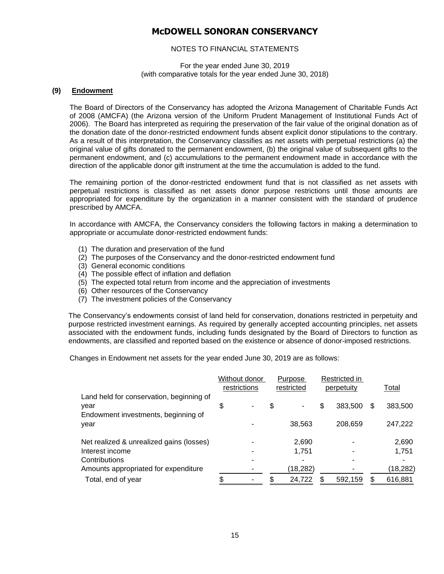#### NOTES TO FINANCIAL STATEMENTS

For the year ended June 30, 2019 (with comparative totals for the year ended June 30, 2018)

#### **(9) Endowment**

The Board of Directors of the Conservancy has adopted the Arizona Management of Charitable Funds Act of 2008 (AMCFA) (the Arizona version of the Uniform Prudent Management of Institutional Funds Act of 2006). The Board has interpreted as requiring the preservation of the fair value of the original donation as of the donation date of the donor-restricted endowment funds absent explicit donor stipulations to the contrary. As a result of this interpretation, the Conservancy classifies as net assets with perpetual restrictions (a) the original value of gifts donated to the permanent endowment, (b) the original value of subsequent gifts to the permanent endowment, and (c) accumulations to the permanent endowment made in accordance with the direction of the applicable donor gift instrument at the time the accumulation is added to the fund.

The remaining portion of the donor-restricted endowment fund that is not classified as net assets with perpetual restrictions is classified as net assets donor purpose restrictions until those amounts are appropriated for expenditure by the organization in a manner consistent with the standard of prudence prescribed by AMCFA.

In accordance with AMCFA, the Conservancy considers the following factors in making a determination to appropriate or accumulate donor-restricted endowment funds:

- (1) The duration and preservation of the fund
- (2) The purposes of the Conservancy and the donor-restricted endowment fund
- (3) General economic conditions
- (4) The possible effect of inflation and deflation
- (5) The expected total return from income and the appreciation of investments
- (6) Other resources of the Conservancy
- (7) The investment policies of the Conservancy

The Conservancy's endowments consist of land held for conservation, donations restricted in perpetuity and purpose restricted investment earnings. As required by generally accepted accounting principles, net assets associated with the endowment funds, including funds designated by the Board of Directors to function as endowments, are classified and reported based on the existence or absence of donor-imposed restrictions.

Changes in Endowment net assets for the year ended June 30, 2019 are as follows:

|                                                                                         | Without donor |   | Purpose    |          | Restricted in     |         |               |
|-----------------------------------------------------------------------------------------|---------------|---|------------|----------|-------------------|---------|---------------|
|                                                                                         | restrictions  |   | restricted |          | <u>perpetuity</u> |         | Total         |
| Land held for conservation, beginning of<br>year<br>Endowment investments, beginning of | \$            | ۰ | \$         |          | \$                | 383,500 | \$<br>383,500 |
| year                                                                                    |               |   |            | 38,563   |                   | 208,659 | 247,222       |
| Net realized & unrealized gains (losses)                                                |               |   |            | 2,690    |                   |         | 2,690         |
| Interest income                                                                         |               |   |            | 1,751    |                   |         | 1,751         |
| Contributions                                                                           |               |   |            |          |                   |         |               |
| Amounts appropriated for expenditure                                                    |               |   |            | (18,282) |                   |         | (18, 282)     |
| Total, end of year                                                                      |               |   |            | 24,722   | S                 | 592,159 | 616,881       |